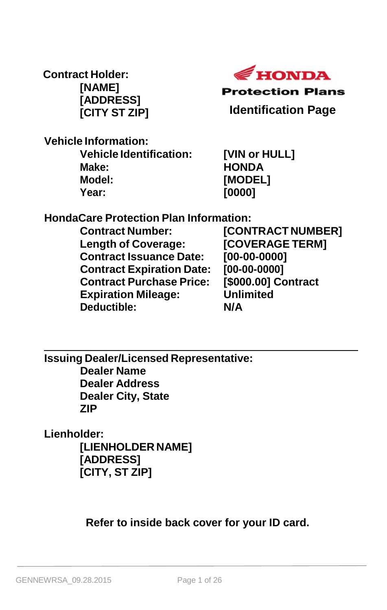**Contract Holder: [NAME] [ADDRESS] [CITY ST ZIP]**



**Vehicle Information:**

**Vehicle Identification: [VIN or HULL] Make: HONDA Year: [0000]**

**Model: [MODEL]**

#### **HondaCare Protection Plan Information:**

**Contract Number: [CONTRACT NUMBER] Length of Coverage:** [COVERAGE<br> **Contract Issuance Date: [00-00-0000] Contract Issuance Date: [00-00-0000] Contract Expiration Date: [00-00-0000] Contract Purchase Price: [\$000.00] Contract Expiration Mileage: Unlimited** Unlimited Deductible:

**Issuing Dealer/Licensed Representative: Dealer Name Dealer Address Dealer City, State ZIP**

**Lienholder:**

**[LIENHOLDER NAME] [ADDRESS] [CITY, ST ZIP]**

**Refer to inside back cover for your ID card.**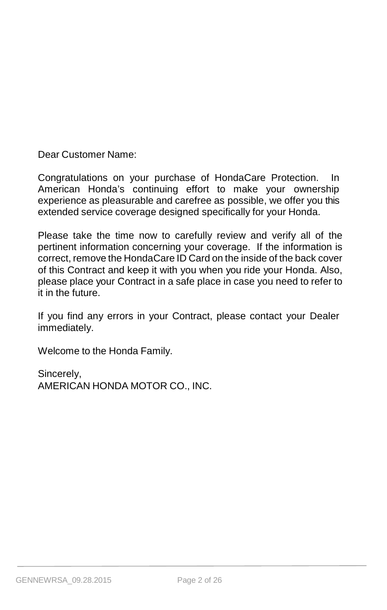Dear Customer Name:

Congratulations on your purchase of HondaCare Protection. In American Honda's continuing effort to make your ownership experience as pleasurable and carefree as possible, we offer you this extended service coverage designed specifically for your Honda.

Please take the time now to carefully review and verify all of the pertinent information concerning your coverage. If the information is correct, remove the HondaCare ID Card on the inside of the back cover of this Contract and keep it with you when you ride your Honda. Also, please place your Contract in a safe place in case you need to refer to it in the future.

If you find any errors in your Contract, please contact your Dealer immediately.

Welcome to the Honda Family.

Sincerely, AMERICAN HONDA MOTOR CO., INC.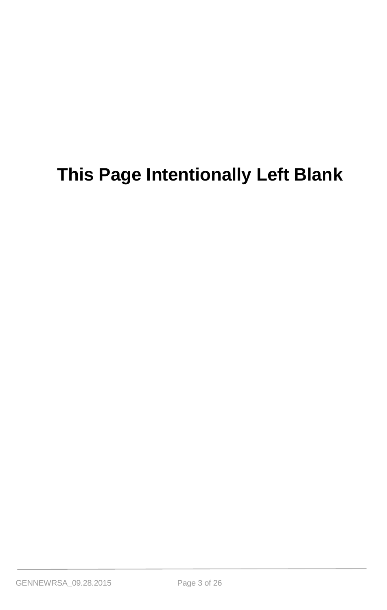# **This Page Intentionally Left Blank**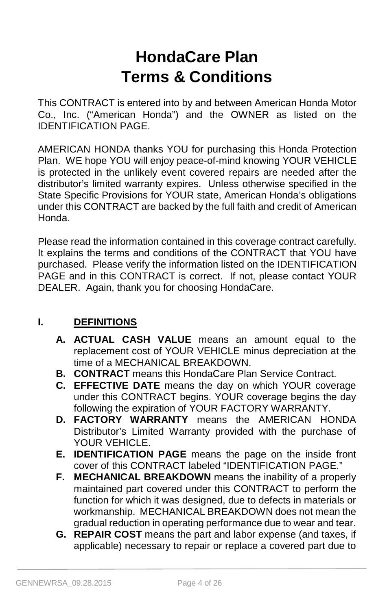## **HondaCare Plan Terms & Conditions**

This CONTRACT is entered into by and between American Honda Motor Co., Inc. ("American Honda") and the OWNER as listed on the IDENTIFICATION PAGE.

AMERICAN HONDA thanks YOU for purchasing this Honda Protection Plan. WE hope YOU will enjoy peace-of-mind knowing YOUR VEHICLE is protected in the unlikely event covered repairs are needed after the distributor's limited warranty expires. Unless otherwise specified in the State Specific Provisions for YOUR state, American Honda's obligations under this CONTRACT are backed by the full faith and credit of American Honda.

Please read the information contained in this coverage contract carefully. It explains the terms and conditions of the CONTRACT that YOU have purchased. Please verify the information listed on the IDENTIFICATION PAGE and in this CONTRACT is correct. If not, please contact YOUR DEALER. Again, thank you for choosing HondaCare.

#### **I. DEFINITIONS**

- **A. ACTUAL CASH VALUE** means an amount equal to the replacement cost of YOUR VEHICLE minus depreciation at the time of a MECHANICAL BREAKDOWN.
- **B. CONTRACT** means this HondaCare Plan Service Contract.
- **C. EFFECTIVE DATE** means the day on which YOUR coverage under this CONTRACT begins. YOUR coverage begins the day following the expiration of YOUR FACTORY WARRANTY.
- **D. FACTORY WARRANTY** means the AMERICAN HONDA Distributor's Limited Warranty provided with the purchase of YOUR VEHICLE.
- **E. IDENTIFICATION PAGE** means the page on the inside front cover of this CONTRACT labeled "IDENTIFICATION PAGE."
- **F. MECHANICAL BREAKDOWN** means the inability of a properly maintained part covered under this CONTRACT to perform the function for which it was designed, due to defects in materials or workmanship. MECHANICAL BREAKDOWN does not mean the gradual reduction in operating performance due to wear and tear.
- **G. REPAIR COST** means the part and labor expense (and taxes, if applicable) necessary to repair or replace a covered part due to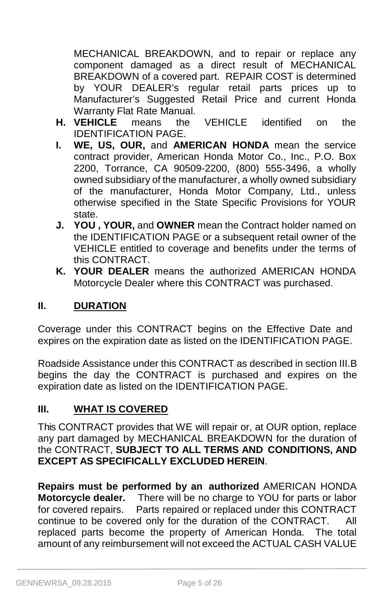MECHANICAL BREAKDOWN, and to repair or replace any component damaged as a direct result of MECHANICAL BREAKDOWN of a covered part. REPAIR COST is determined by YOUR DEALER's regular retail parts prices up to Manufacturer's Suggested Retail Price and current Honda Warranty Flat Rate Manual.

- **H. VEHICLE** means the VEHICLE identified on the IDENTIFICATION PAGE.
- **I. WE, US, OUR,** and **AMERICAN HONDA** mean the service contract provider, American Honda Motor Co., Inc., P.O. Box 2200, Torrance, CA 90509-2200, (800) 555-3496, a wholly owned subsidiary of the manufacturer, a wholly owned subsidiary of the manufacturer, Honda Motor Company, Ltd., unless otherwise specified in the State Specific Provisions for YOUR state.
- **J. YOU , YOUR,** and **OWNER** mean the Contract holder named on the IDENTIFICATION PAGE or a subsequent retail owner of the VEHICLE entitled to coverage and benefits under the terms of this CONTRACT.
- **K. YOUR DEALER** means the authorized AMERICAN HONDA Motorcycle Dealer where this CONTRACT was purchased.

#### **II. DURATION**

Coverage under this CONTRACT begins on the Effective Date and expires on the expiration date as listed on the IDENTIFICATION PAGE.

Roadside Assistance under this CONTRACT as described in section III.B begins the day the CONTRACT is purchased and expires on the expiration date as listed on the IDENTIFICATION PAGE.

#### **III. WHAT IS COVERED**

This CONTRACT provides that WE will repair or, at OUR option, replace any part damaged by MECHANICAL BREAKDOWN for the duration of the CONTRACT, **SUBJECT TO ALL TERMS AND CONDITIONS, AND EXCEPT AS SPECIFICALLY EXCLUDED HEREIN**.

**Repairs must be performed by an authorized** AMERICAN HONDA **Motorcycle dealer.** There will be no charge to YOU for parts or labor for covered repairs. Parts repaired or replaced under this CONTRACT Parts repaired or replaced under this CONTRACT continue to be covered only for the duration of the CONTRACT. All replaced parts become the property of American Honda. The total amount of any reimbursement will not exceed the ACTUAL CASH VALUE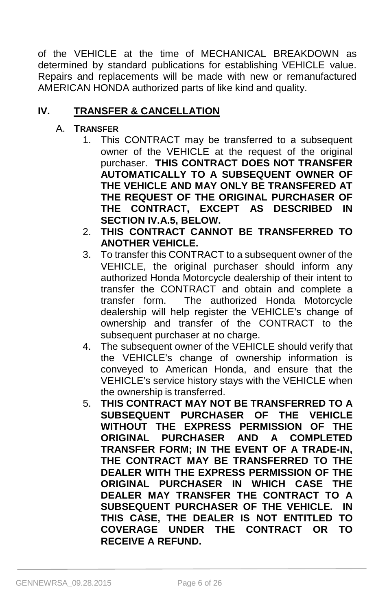of the VEHICLE at the time of MECHANICAL BREAKDOWN as determined by standard publications for establishing VEHICLE value. Repairs and replacements will be made with new or remanufactured AMERICAN HONDA authorized parts of like kind and quality.

#### **IV. TRANSFER & CANCELLATION**

#### A. **TRANSFER**

- 1. This CONTRACT may be transferred to a subsequent owner of the VEHICLE at the request of the original purchaser. **THIS CONTRACT DOES NOT TRANSFER AUTOMATICALLY TO A SUBSEQUENT OWNER OF THE VEHICLE AND MAY ONLY BE TRANSFERED AT THE REQUEST OF THE ORIGINAL PURCHASER OF THE CONTRACT, EXCEPT AS DESCRIBED IN SECTION IV.A.5, BELOW.**
- 2. **THIS CONTRACT CANNOT BE TRANSFERRED TO ANOTHER VEHICLE.**
- 3. To transfer this CONTRACT to a subsequent owner of the VEHICLE, the original purchaser should inform any authorized Honda Motorcycle dealership of their intent to transfer the CONTRACT and obtain and complete a transfer form. The authorized Honda Motorcycle dealership will help register the VEHICLE's change of ownership and transfer of the CONTRACT to the subsequent purchaser at no charge.
- 4. The subsequent owner of the VEHICLE should verify that the VEHICLE's change of ownership information is conveyed to American Honda, and ensure that the VEHICLE's service history stays with the VEHICLE when the ownership is transferred.
- 5. **THIS CONTRACT MAY NOT BE TRANSFERRED TO A SUBSEQUENT PURCHASER OF THE VEHICLE WITHOUT THE EXPRESS PERMISSION OF THE ORIGINAL PURCHASER AND A COMPLETED TRANSFER FORM; IN THE EVENT OF A TRADE-IN, THE CONTRACT MAY BE TRANSFERRED TO THE DEALER WITH THE EXPRESS PERMISSION OF THE ORIGINAL PURCHASER IN WHICH CASE THE DEALER MAY TRANSFER THE CONTRACT TO A SUBSEQUENT PURCHASER OF THE VEHICLE. IN THIS CASE, THE DEALER IS NOT ENTITLED TO COVERAGE UNDER THE CONTRACT OR TO RECEIVE A REFUND.**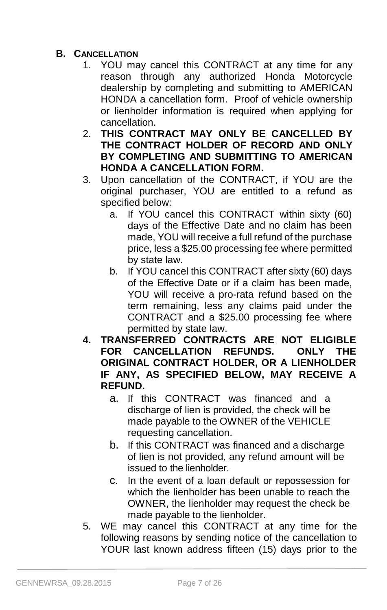#### **B. CANCELLATION**

- 1. YOU may cancel this CONTRACT at any time for any reason through any authorized Honda Motorcycle dealership by completing and submitting to AMERICAN HONDA a cancellation form. Proof of vehicle ownership or lienholder information is required when applying for cancellation.
- 2. **THIS CONTRACT MAY ONLY BE CANCELLED BY THE CONTRACT HOLDER OF RECORD AND ONLY BY COMPLETING AND SUBMITTING TO AMERICAN HONDA A CANCELLATION FORM.**
- 3. Upon cancellation of the CONTRACT, if YOU are the original purchaser, YOU are entitled to a refund as specified below:
	- a. If YOU cancel this CONTRACT within sixty (60) days of the Effective Date and no claim has been made, YOU will receive a full refund of the purchase price, less a \$25.00 processing fee where permitted by state law.
	- b. If YOU cancel this CONTRACT after sixty (60) days of the Effective Date or if a claim has been made, YOU will receive a pro-rata refund based on the term remaining, less any claims paid under the CONTRACT and a \$25.00 processing fee where permitted by state law.
- **4. TRANSFERRED CONTRACTS ARE NOT ELIGIBLE FOR CANCELLATION REFUNDS. ONLY THE ORIGINAL CONTRACT HOLDER, OR A LIENHOLDER IF ANY, AS SPECIFIED BELOW, MAY RECEIVE A REFUND.**
	- a. If this CONTRACT was financed and a discharge of lien is provided, the check will be made payable to the OWNER of the VEHICLE requesting cancellation.
	- b. If this CONTRACT was financed and a discharge of lien is not provided, any refund amount will be issued to the lienholder.
	- c. In the event of a loan default or repossession for which the lienholder has been unable to reach the OWNER, the lienholder may request the check be made payable to the lienholder.
- 5. WE may cancel this CONTRACT at any time for the following reasons by sending notice of the cancellation to YOUR last known address fifteen (15) days prior to the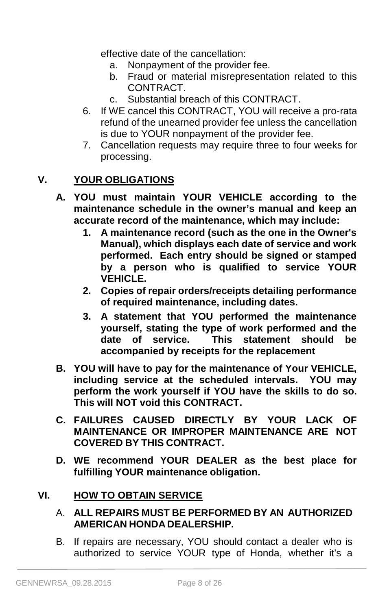effective date of the cancellation:

- a. Nonpayment of the provider fee.
- b. Fraud or material misrepresentation related to this **CONTRACT**
- c. Substantial breach of this CONTRACT.
- 6. If WE cancel this CONTRACT, YOU will receive a pro-rata refund of the unearned provider fee unless the cancellation is due to YOUR nonpayment of the provider fee.
- 7. Cancellation requests may require three to four weeks for processing.

#### **V. YOUR OBLIGATIONS**

- **A. YOU must maintain YOUR VEHICLE according to the maintenance schedule in the owner's manual and keep an accurate record of the maintenance, which may include:**
	- **1. A maintenance record (such as the one in the Owner's Manual), which displays each date of service and work performed. Each entry should be signed or stamped by a person who is qualified to service YOUR VEHICLE.**
	- **2. Copies of repair orders/receipts detailing performance of required maintenance, including dates.**
	- **3. A statement that YOU performed the maintenance yourself, stating the type of work performed and the date of service. This statement should be accompanied by receipts for the replacement**
- **B. YOU will have to pay for the maintenance of Your VEHICLE, including service at the scheduled intervals. YOU may perform the work yourself if YOU have the skills to do so. This will NOT void this CONTRACT.**
- **C. FAILURES CAUSED DIRECTLY BY YOUR LACK OF MAINTENANCE OR IMPROPER MAINTENANCE ARE NOT COVERED BY THIS CONTRACT.**
- **D. WE recommend YOUR DEALER as the best place for fulfilling YOUR maintenance obligation.**

#### **VI. HOW TO OBTAIN SERVICE**

- A. **ALL REPAIRS MUST BE PERFORMED BY AN AUTHORIZED AMERICAN HONDA DEALERSHIP.**
- B. If repairs are necessary, YOU should contact a dealer who is authorized to service YOUR type of Honda, whether it's a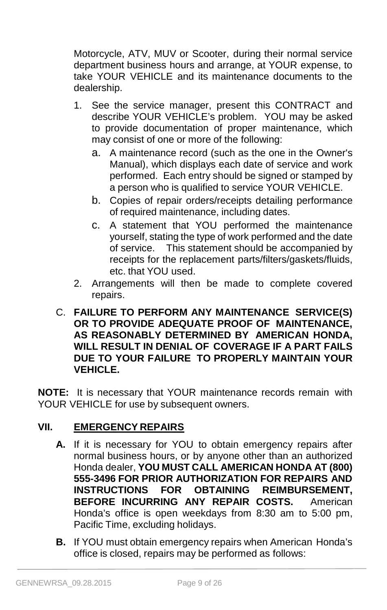Motorcycle, ATV, MUV or Scooter, during their normal service department business hours and arrange, at YOUR expense, to take YOUR VEHICLE and its maintenance documents to the dealership.

- 1. See the service manager, present this CONTRACT and describe YOUR VEHICLE's problem. YOU may be asked to provide documentation of proper maintenance, which may consist of one or more of the following:
	- a. A maintenance record (such as the one in the Owner's Manual), which displays each date of service and work performed. Each entry should be signed or stamped by a person who is qualified to service YOUR VEHICLE.
	- b. Copies of repair orders/receipts detailing performance of required maintenance, including dates.
	- c. A statement that YOU performed the maintenance yourself, stating the type of work performed and the date of service. This statement should be accompanied by receipts for the replacement parts/filters/gaskets/fluids, etc. that YOU used.
- 2. Arrangements will then be made to complete covered repairs.
- C. **FAILURE TO PERFORM ANY MAINTENANCE SERVICE(S) OR TO PROVIDE ADEQUATE PROOF OF MAINTENANCE, AS REASONABLY DETERMINED BY AMERICAN HONDA, WILL RESULT IN DENIAL OF COVERAGE IF A PART FAILS DUE TO YOUR FAILURE TO PROPERLY MAINTAIN YOUR VEHICLE.**

**NOTE:** It is necessary that YOUR maintenance records remain with YOUR VEHICLE for use by subsequent owners.

#### **VII. EMERGENCY REPAIRS**

- **A.** If it is necessary for YOU to obtain emergency repairs after normal business hours, or by anyone other than an authorized Honda dealer, **YOU MUST CALL AMERICAN HONDA AT (800) 555-3496 FOR PRIOR AUTHORIZATION FOR REPAIRS AND INSTRUCTIONS FOR OBTAINING REIMBURSEMENT, BEFORE INCURRING ANY REPAIR COSTS.** American Honda's office is open weekdays from 8:30 am to 5:00 pm, Pacific Time, excluding holidays.
- **B.** If YOU must obtain emergency repairs when American Honda's office is closed, repairs may be performed as follows: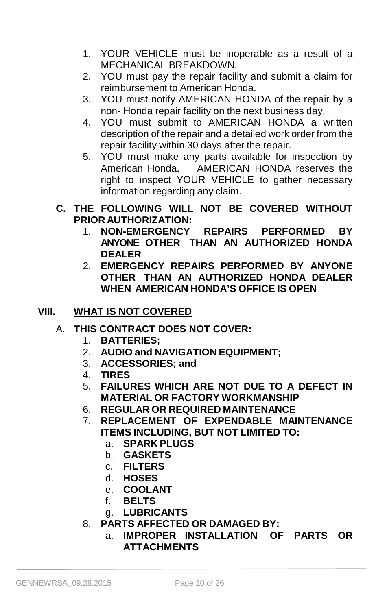- 1. YOUR VEHICLE must be inoperable as a result of a MECHANICAL BREAKDOWN.
- 2. YOU must pay the repair facility and submit a claim for reimbursement to American Honda.
- 3. YOU must notify AMERICAN HONDA of the repair by a non- Honda repair facility on the next business day.
- 4. YOU must submit to AMERICAN HONDA a written description of the repair and a detailed work order from the repair facility within 30 days after the repair.
- 5. YOU must make any parts available for inspection by American Honda. AMERICAN HONDA reserves the right to inspect YOUR VEHICLE to gather necessary information regarding any claim.
- **C. THE FOLLOWING WILL NOT BE COVERED WITHOUT PRIOR AUTHORIZATION:**
	- 1. **NON-EMERGENCY REPAIRS PERFORMED BY ANYONE OTHER THAN AN AUTHORIZED HONDA DEALER**
	- 2. **EMERGENCY REPAIRS PERFORMED BY ANYONE OTHER THAN AN AUTHORIZED HONDA DEALER WHEN AMERICAN HONDA'S OFFICE IS OPEN**

#### **VIII. WHAT IS NOT COVERED**

- A. **THIS CONTRACT DOES NOT COVER:**
	- 1. **BATTERIES;**
	- 2. **AUDIO and NAVIGATION EQUIPMENT;**
	- 3. **ACCESSORIES; and**
	- 4. **TIRES**
	- 5. **FAILURES WHICH ARE NOT DUE TO A DEFECT IN MATERIAL OR FACTORY WORKMANSHIP**
	- 6. **REGULAR OR REQUIRED MAINTENANCE**
	- 7. **REPLACEMENT OF EXPENDABLE MAINTENANCE ITEMS INCLUDING, BUT NOT LIMITED TO:**
		- a. **SPARK PLUGS**
		- b. **GASKETS**
		- c. **FILTERS**
		- d. **HOSES**
		- e. **COOLANT**
		- f. **BELTS**
		- g. **LUBRICANTS**
	- 8. **PARTS AFFECTED OR DAMAGED BY:**
		- a. **IMPROPER INSTALLATION OF PARTS OR ATTACHMENTS**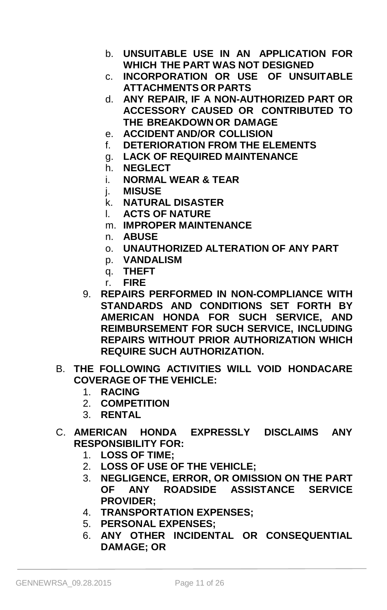- b. **UNSUITABLE USE IN AN APPLICATION FOR WHICH THE PART WAS NOT DESIGNED**
- c. **INCORPORATION OR USE OF UNSUITABLE ATTACHMENTS OR PARTS**
- d. **ANY REPAIR, IF A NON-AUTHORIZED PART OR ACCESSORY CAUSED OR CONTRIBUTED TO THE BREAKDOWN OR DAMAGE**
- e. **ACCIDENT AND/OR COLLISION**
- f. **DETERIORATION FROM THE ELEMENTS**
- g. **LACK OF REQUIRED MAINTENANCE**
- h. **NEGLECT**
- i. **NORMAL WEAR & TEAR**
- j. **MISUSE**
- k. **NATURAL DISASTER**
- l. **ACTS OF NATURE**
- m. **IMPROPER MAINTENANCE**
- n. **ABUSE**
- o. **UNAUTHORIZED ALTERATION OF ANY PART**
- p. **VANDALISM**
- q. **THEFT**
- r. **FIRE**
- 9. **REPAIRS PERFORMED IN NON-COMPLIANCE WITH STANDARDS AND CONDITIONS SET FORTH BY AMERICAN HONDA FOR SUCH SERVICE, AND REIMBURSEMENT FOR SUCH SERVICE, INCLUDING REPAIRS WITHOUT PRIOR AUTHORIZATION WHICH REQUIRE SUCH AUTHORIZATION.**
- B. **THE FOLLOWING ACTIVITIES WILL VOID HONDACARE COVERAGE OF THE VEHICLE:**
	- 1. **RACING**
	- 2. **COMPETITION**
	- 3. **RENTAL**
- C. **AMERICAN HONDA EXPRESSLY DISCLAIMS ANY RESPONSIBILITY FOR:**
	- 1. **LOSS OF TIME;**
	- 2. **LOSS OF USE OF THE VEHICLE;**
	- 3. **NEGLIGENCE, ERROR, OR OMISSION ON THE PART OF ANY ROADSIDE ASSISTANCE SERVICE PROVIDER;**
	- 4. **TRANSPORTATION EXPENSES;**
	- 5. **PERSONAL EXPENSES;**
	- 6. **ANY OTHER INCIDENTAL OR CONSEQUENTIAL DAMAGE; OR**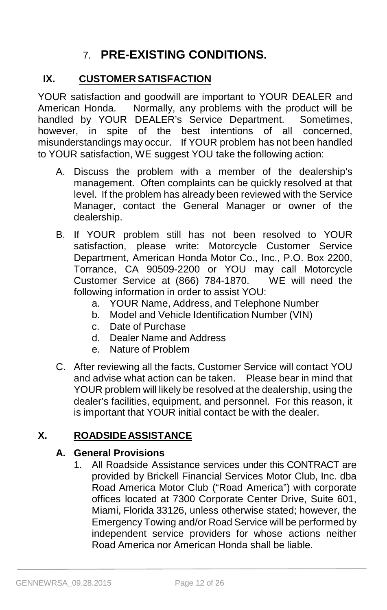### 7. **PRE-EXISTING CONDITIONS.**

#### **IX. CUSTOMER SATISFACTION**

YOUR satisfaction and goodwill are important to YOUR DEALER and American Honda. Normally, any problems with the product will be handled by YOUR DEALER's Service Department. Sometimes, however, in spite of the best intentions of all concerned, misunderstandings may occur. If YOUR problem has not been handled to YOUR satisfaction, WE suggest YOU take the following action:

- A. Discuss the problem with a member of the dealership's management. Often complaints can be quickly resolved at that level. If the problem has already been reviewed with the Service Manager, contact the General Manager or owner of the dealership.
- B. If YOUR problem still has not been resolved to YOUR satisfaction, please write: Motorcycle Customer Service Department, American Honda Motor Co., Inc., P.O. Box 2200, Torrance, CA 90509-2200 or YOU may call Motorcycle Customer Service at (866) 784-1870. WE will need the following information in order to assist YOU:
	- a. YOUR Name, Address, and Telephone Number
	- b. Model and Vehicle Identification Number (VIN)
	- c. Date of Purchase
	- d. Dealer Name and Address
	- e. Nature of Problem
- C. After reviewing all the facts, Customer Service will contact YOU and advise what action can be taken. Please bear in mind that YOUR problem will likely be resolved at the dealership, using the dealer's facilities, equipment, and personnel. For this reason, it is important that YOUR initial contact be with the dealer.

#### **X. ROADSIDE ASSISTANCE**

#### **A. General Provisions**

1. All Roadside Assistance services under this CONTRACT are provided by Brickell Financial Services Motor Club, Inc. dba Road America Motor Club ("Road America") with corporate offices located at 7300 Corporate Center Drive, Suite 601, Miami, Florida 33126, unless otherwise stated; however, the Emergency Towing and/or Road Service will be performed by independent service providers for whose actions neither Road America nor American Honda shall be liable.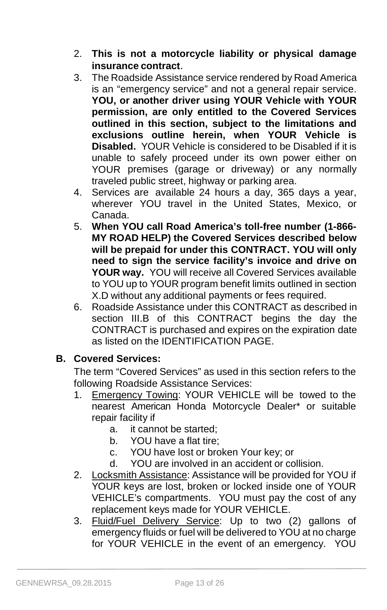- 2. **This is not a motorcycle liability or physical damage insurance contract**.
- 3. The Roadside Assistance service rendered by Road America is an "emergency service" and not a general repair service. **YOU, or another driver using YOUR Vehicle with YOUR permission, are only entitled to the Covered Services outlined in this section, subject to the limitations and exclusions outline herein, when YOUR Vehicle is Disabled.** YOUR Vehicle is considered to be Disabled if it is unable to safely proceed under its own power either on YOUR premises (garage or driveway) or any normally traveled public street, highway or parking area.
- 4. Services are available 24 hours a day, 365 days a year, wherever YOU travel in the United States, Mexico, or Canada.
- 5. **When YOU call Road America's toll-free number (1-866- MY ROAD HELP) the Covered Services described below will be prepaid for under this CONTRACT. YOU will only need to sign the service facility's invoice and drive on YOUR way.** YOU will receive all Covered Services available to YOU up to YOUR program benefit limits outlined in section X.D without any additional payments or fees required.
- 6. Roadside Assistance under this CONTRACT as described in section III.B of this CONTRACT begins the day the CONTRACT is purchased and expires on the expiration date as listed on the IDENTIFICATION PAGE.

#### **B. Covered Services:**

The term "Covered Services" as used in this section refers to the following Roadside Assistance Services:

- 1. Emergency Towing: YOUR VEHICLE will be towed to the nearest American Honda Motorcycle Dealer\* or suitable repair facility if
	- a. it cannot be started;
	- b. YOU have a flat tire;
	- c. YOU have lost or broken Your key; or
	- d. YOU are involved in an accident or collision.
- 2. Locksmith Assistance: Assistance will be provided for YOU if YOUR keys are lost, broken or locked inside one of YOUR VEHICLE's compartments. YOU must pay the cost of any replacement keys made for YOUR VEHICLE.
- 3. Fluid/Fuel Delivery Service: Up to two (2) gallons of emergency fluids or fuel will be delivered to YOU at no charge for YOUR VEHICLE in the event of an emergency. YOU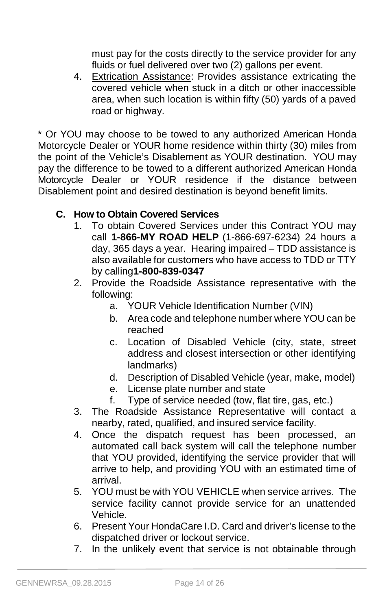must pay for the costs directly to the service provider for any fluids or fuel delivered over two (2) gallons per event.

4. Extrication Assistance: Provides assistance extricating the covered vehicle when stuck in a ditch or other inaccessible area, when such location is within fifty (50) yards of a paved road or highway.

\* Or YOU may choose to be towed to any authorized American Honda Motorcycle Dealer or YOUR home residence within thirty (30) miles from the point of the Vehicle's Disablement as YOUR destination. YOU may pay the difference to be towed to a different authorized American Honda Motorcycle Dealer or YOUR residence if the distance between Disablement point and desired destination is beyond benefit limits.

#### **C. How to Obtain Covered Services**

- 1. To obtain Covered Services under this Contract YOU may call **1-866-MY ROAD HELP** (1-866-697-6234) 24 hours a day, 365 days a year. Hearing impaired – TDD assistance is also available for customers who have access to TDD or TTY by calling**1-800-839-0347**
- 2. Provide the Roadside Assistance representative with the following:
	- a. YOUR Vehicle Identification Number (VIN)
	- b. Area code and telephone number where YOU can be reached
	- c. Location of Disabled Vehicle (city, state, street address and closest intersection or other identifying landmarks)
	- d. Description of Disabled Vehicle (year, make, model)
	- e. License plate number and state
	- f. Type of service needed (tow, flat tire, gas, etc.)
- 3. The Roadside Assistance Representative will contact a nearby, rated, qualified, and insured service facility.
- 4. Once the dispatch request has been processed, an automated call back system will call the telephone number that YOU provided, identifying the service provider that will arrive to help, and providing YOU with an estimated time of arrival.
- 5. YOU must be with YOU VEHICLE when service arrives. The service facility cannot provide service for an unattended Vehicle.
- 6. Present Your HondaCare I.D. Card and driver's license to the dispatched driver or lockout service.
- 7. In the unlikely event that service is not obtainable through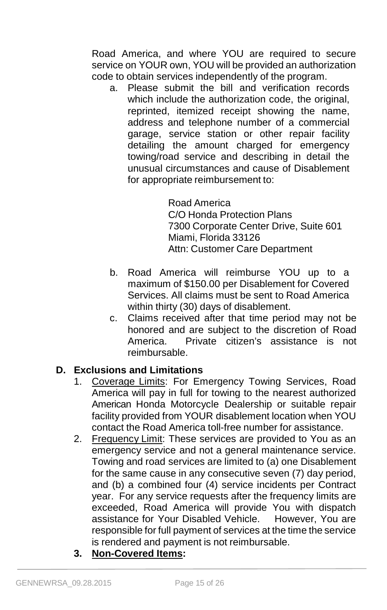Road America, and where YOU are required to secure service on YOUR own, YOU will be provided an authorization code to obtain services independently of the program.

a. Please submit the bill and verification records which include the authorization code, the original, reprinted, itemized receipt showing the name, address and telephone number of a commercial garage, service station or other repair facility detailing the amount charged for emergency towing/road service and describing in detail the unusual circumstances and cause of Disablement for appropriate reimbursement to:

> Road America C/O Honda Protection Plans 7300 Corporate Center Drive, Suite 601 Miami, Florida 33126 Attn: Customer Care Department

- b. Road America will reimburse YOU up to a maximum of \$150.00 per Disablement for Covered Services. All claims must be sent to Road America within thirty (30) days of disablement.
- c. Claims received after that time period may not be honored and are subject to the discretion of Road America. Private citizen's assistance is not reimbursable.

#### **D. Exclusions and Limitations**

- 1. Coverage Limits: For Emergency Towing Services, Road America will pay in full for towing to the nearest authorized American Honda Motorcycle Dealership or suitable repair facility provided from YOUR disablement location when YOU contact the Road America toll-free number for assistance.
- 2. Frequency Limit: These services are provided to You as an emergency service and not a general maintenance service. Towing and road services are limited to (a) one Disablement for the same cause in any consecutive seven (7) day period, and (b) a combined four (4) service incidents per Contract year. For any service requests after the frequency limits are exceeded, Road America will provide You with dispatch assistance for Your Disabled Vehicle. However, You are responsible for full payment of services at the time the service is rendered and payment is not reimbursable.
- **3. Non-Covered Items:**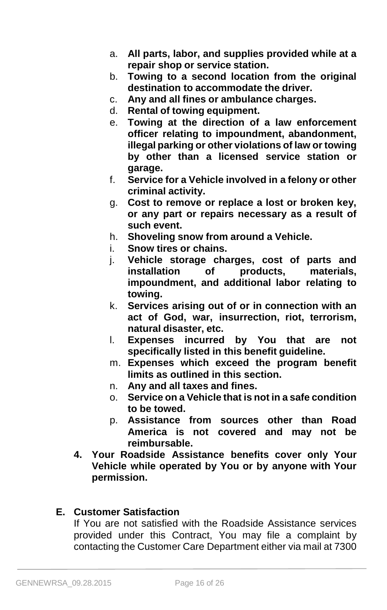- a. **All parts, labor, and supplies provided while at a repair shop or service station.**
- b. **Towing to a second location from the original destination to accommodate the driver.**
- c. **Any and all fines or ambulance charges.**
- d. **Rental of towing equipment.**
- e. **Towing at the direction of a law enforcement officer relating to impoundment, abandonment, illegal parking or other violations of law ortowing by other than a licensed service station or garage.**
- f. **Service for a Vehicle involved in a felony or other criminal activity.**
- g. **Cost to remove or replace a lost or broken key, or any part or repairs necessary as a result of such event.**
- h. **Shoveling snow from around a Vehicle.**
- i. **Snow tires or chains.**
- j. **Vehicle storage charges, cost of parts and installation of products, materials, impoundment, and additional labor relating to towing.**
- k. **Services arising out of or in connection with an act of God, war, insurrection, riot, terrorism, natural disaster, etc.**
- l. **Expenses incurred by You that are not specifically listed in this benefit guideline.**
- m. **Expenses which exceed the program benefit limits as outlined in this section.**
- n. **Any and all taxes and fines.**
- o. **Service on a Vehicle that is not in a safe condition to be towed.**
- p. **Assistance from sources other than Road America is not covered and may not be reimbursable.**
- **4. Your Roadside Assistance benefits cover only Your Vehicle while operated by You or by anyone with Your permission.**

#### **E. Customer Satisfaction**

If You are not satisfied with the Roadside Assistance services provided under this Contract, You may file a complaint by contacting the Customer Care Department either via mail at 7300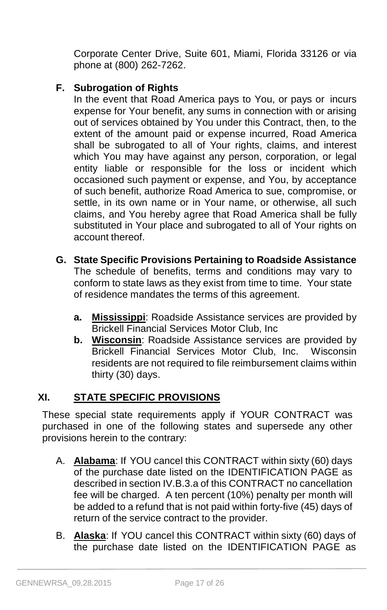Corporate Center Drive, Suite 601, Miami, Florida 33126 or via phone at (800) 262-7262.

#### **F. Subrogation of Rights**

In the event that Road America pays to You, or pays or incurs expense for Your benefit, any sums in connection with or arising out of services obtained by You under this Contract, then, to the extent of the amount paid or expense incurred, Road America shall be subrogated to all of Your rights, claims, and interest which You may have against any person, corporation, or legal entity liable or responsible for the loss or incident which occasioned such payment or expense, and You, by acceptance of such benefit, authorize Road America to sue, compromise, or settle, in its own name or in Your name, or otherwise, all such claims, and You hereby agree that Road America shall be fully substituted in Your place and subrogated to all of Your rights on account thereof.

- **G. State Specific Provisions Pertaining to Roadside Assistance** The schedule of benefits, terms and conditions may vary to conform to state laws as they exist from time to time. Your state of residence mandates the terms of this agreement.
	- **a. Mississippi**: Roadside Assistance services are provided by Brickell Financial Services Motor Club, Inc
	- **b. Wisconsin**: Roadside Assistance services are provided by Brickell Financial Services Motor Club, Inc. Wisconsin residents are not required to file reimbursement claims within thirty (30) days.

#### **XI. STATE SPECIFIC PROVISIONS**

These special state requirements apply if YOUR CONTRACT was purchased in one of the following states and supersede any other provisions herein to the contrary:

- A. **Alabama**: If YOU cancel this CONTRACT within sixty (60) days of the purchase date listed on the IDENTIFICATION PAGE as described in section IV.B.3.a of this CONTRACT no cancellation fee will be charged. A ten percent (10%) penalty per month will be added to a refund that is not paid within forty-five (45) days of return of the service contract to the provider.
- B. **Alaska**: If YOU cancel this CONTRACT within sixty (60) days of the purchase date listed on the IDENTIFICATION PAGE as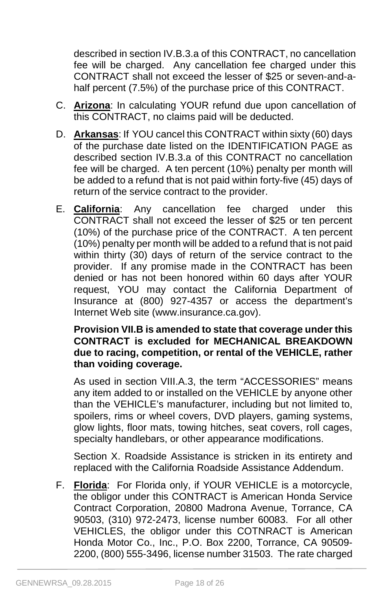described in section IV.B.3.a of this CONTRACT, no cancellation fee will be charged. Any cancellation fee charged under this CONTRACT shall not exceed the lesser of \$25 or seven-and-ahalf percent (7.5%) of the purchase price of this CONTRACT.

- C. **Arizona**: In calculating YOUR refund due upon cancellation of this CONTRACT, no claims paid will be deducted.
- D. **Arkansas**: If YOU cancel this CONTRACT within sixty (60) days of the purchase date listed on the IDENTIFICATION PAGE as described section IV.B.3.a of this CONTRACT no cancellation fee will be charged. A ten percent (10%) penalty per month will be added to a refund that is not paid within forty-five (45) days of return of the service contract to the provider.
- E. **California**: Any cancellation fee charged under this CONTRACT shall not exceed the lesser of \$25 or ten percent (10%) of the purchase price of the CONTRACT. A ten percent (10%) penalty per month will be added to a refund that is not paid within thirty (30) days of return of the service contract to the provider. If any promise made in the CONTRACT has been denied or has not been honored within 60 days after YOUR request, YOU may contact the California Department of Insurance at (800) 927-4357 or access the department's Internet Web site (www.insurance.ca.gov).

#### **Provision VII.B is amended to state that coverage under this CONTRACT is excluded for MECHANICAL BREAKDOWN due to racing, competition, or rental of the VEHICLE, rather than voiding coverage.**

As used in section VIII.A.3, the term "ACCESSORIES" means any item added to or installed on the VEHICLE by anyone other than the VEHICLE's manufacturer, including but not limited to, spoilers, rims or wheel covers, DVD players, gaming systems, glow lights, floor mats, towing hitches, seat covers, roll cages, specialty handlebars, or other appearance modifications.

Section X. Roadside Assistance is stricken in its entirety and replaced with the California Roadside Assistance Addendum.

F. **Florida**: For Florida only, if YOUR VEHICLE is a motorcycle, the obligor under this CONTRACT is American Honda Service Contract Corporation, 20800 Madrona Avenue, Torrance, CA 90503, (310) 972-2473, license number 60083. For all other VEHICLES, the obligor under this COTNRACT is American Honda Motor Co., Inc., P.O. Box 2200, Torrance, CA 90509- 2200, (800) 555-3496, license number 31503. The rate charged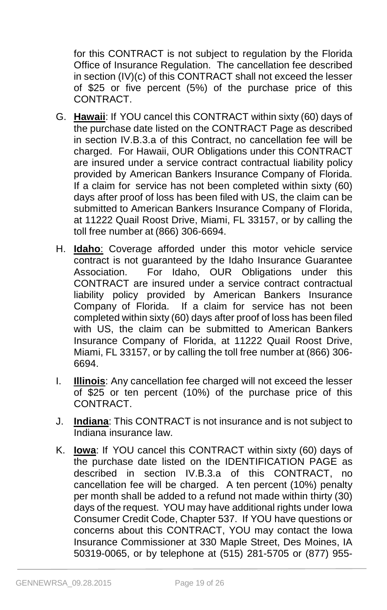for this CONTRACT is not subject to regulation by the Florida Office of Insurance Regulation.The cancellation fee described in section (IV)(c) of this CONTRACT shall not exceed the lesser of \$25 or five percent (5%) of the purchase price of this CONTRACT.

- G. **Hawaii**: If YOU cancel this CONTRACT within sixty (60) days of the purchase date listed on the CONTRACT Page as described in section IV.B.3.a of this Contract, no cancellation fee will be charged. For Hawaii, OUR Obligations under this CONTRACT are insured under a service contract contractual liability policy provided by American Bankers Insurance Company of Florida. If a claim for service has not been completed within sixty (60) days after proof of loss has been filed with US, the claim can be submitted to American Bankers Insurance Company of Florida, at 11222 Quail Roost Drive, Miami, FL 33157, or by calling the toll free number at (866) 306-6694.
- H. **Idaho**: Coverage afforded under this motor vehicle service **Contract is not guaranteed by the Idaho Insurance Guarantee**<br>Association **For Idaho OUR Obligations** under this For Idaho, OUR Obligations under this CONTRACT are insured under a service contract contractual liability policy provided by American Bankers Insurance Company of Florida. If a claim for service has not been completed within sixty (60) days after proof of loss has been filed with US, the claim can be submitted to American Bankers Insurance Company of Florida, at 11222 Quail Roost Drive, Miami, FL 33157, or by calling the toll free number at (866) 306- 6694.
- I. **Illinois**: Any cancellation fee charged will not exceed the lesser of \$25 or ten percent (10%) of the purchase price of this CONTRACT.
- J. **Indiana**: This CONTRACT is not insurance and is not subject to Indiana insurance law.
- K. **Iowa**: If YOU cancel this CONTRACT within sixty (60) days of the purchase date listed on the IDENTIFICATION PAGE as described in section IV.B.3.a of this CONTRACT, no cancellation fee will be charged. A ten percent (10%) penalty per month shall be added to a refund not made within thirty (30) days of the request. YOU may have additional rights under Iowa Consumer Credit Code, Chapter 537. If YOU have questions or concerns about this CONTRACT, YOU may contact the Iowa Insurance Commissioner at 330 Maple Street, Des Moines, IA 50319-0065, or by telephone at (515) 281-5705 or (877) 955-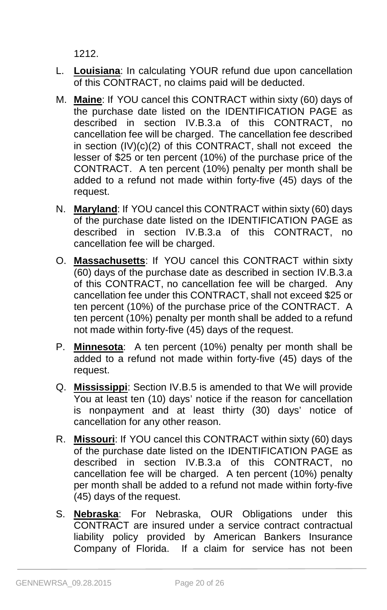1212.

- L. **Louisiana**: In calculating YOUR refund due upon cancellation of this CONTRACT, no claims paid will be deducted.
- M. **Maine**: If YOU cancel this CONTRACT within sixty (60) days of the purchase date listed on the IDENTIFICATION PAGE as described in section IV.B.3.a of this CONTRACT, no cancellation fee will be charged. The cancellation fee described in section (IV)(c)(2) of this CONTRACT, shall not exceed the lesser of \$25 or ten percent (10%) of the purchase price of the CONTRACT. A ten percent (10%) penalty per month shall be added to a refund not made within forty-five (45) days of the request.
- N. **Maryland**: If YOU cancel this CONTRACT within sixty (60) days of the purchase date listed on the IDENTIFICATION PAGE as described in section IV.B.3.a of this CONTRACT, no cancellation fee will be charged.
- O. **Massachusetts**: If YOU cancel this CONTRACT within sixty (60) days of the purchase date as described in section IV.B.3.a of this CONTRACT, no cancellation fee will be charged. Any cancellation fee under this CONTRACT, shall not exceed \$25 or ten percent (10%) of the purchase price of the CONTRACT. A ten percent (10%) penalty per month shall be added to a refund not made within forty-five (45) days of the request.
- P. **Minnesota**: A ten percent (10%) penalty per month shall be added to a refund not made within forty-five (45) days of the request.
- Q. **Mississippi**: Section IV.B.5 is amended to that We will provide You at least ten (10) days' notice if the reason for cancellation is nonpayment and at least thirty (30) days' notice of cancellation for any other reason.
- R. **Missouri**: If YOU cancel this CONTRACT within sixty (60) days of the purchase date listed on the IDENTIFICATION PAGE as described in section IV.B.3.a of this CONTRACT, no cancellation fee will be charged. A ten percent (10%) penalty per month shall be added to a refund not made within forty-five (45) days of the request.
- S. **Nebraska**: For Nebraska, OUR Obligations under this CONTRACT are insured under a service contract contractual liability policy provided by American Bankers Insurance Company of Florida. If a claim for service has not been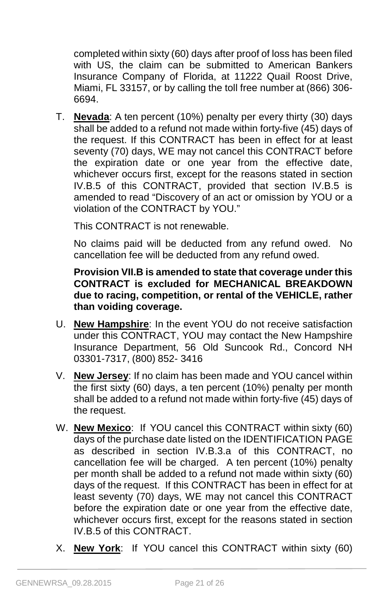completed within sixty (60) days after proof of loss has been filed with US, the claim can be submitted to American Bankers Insurance Company of Florida, at 11222 Quail Roost Drive, Miami, FL 33157, or by calling the toll free number at (866) 306- 6694.

T. **Nevada**: A ten percent (10%) penalty per every thirty (30) days shall be added to a refund not made within forty-five (45) days of the request. If this CONTRACT has been in effect for at least seventy (70) days, WE may not cancel this CONTRACT before the expiration date or one year from the effective date, whichever occurs first, except for the reasons stated in section IV.B.5 of this CONTRACT, provided that section IV.B.5 is amended to read "Discovery of an act or omission by YOU or a violation of the CONTRACT by YOU."

This CONTRACT is not renewable.

No claims paid will be deducted from any refund owed. No cancellation fee will be deducted from any refund owed.

**Provision VII.B is amended to state that coverage under this CONTRACT is excluded for MECHANICAL BREAKDOWN due to racing, competition, or rental of the VEHICLE, rather than voiding coverage.**

- U. **New Hampshire**: In the event YOU do not receive satisfaction under this CONTRACT, YOU may contact the New Hampshire Insurance Department, 56 Old Suncook Rd., Concord NH 03301-7317, (800) 852- 3416
- V. **New Jersey**: If no claim has been made and YOU cancel within the first sixty (60) days, a ten percent (10%) penalty per month shall be added to a refund not made within forty-five (45) days of the request.
- W. **New Mexico**: If YOU cancel this CONTRACT within sixty (60) days of the purchase date listed on the IDENTIFICATION PAGE as described in section IV.B.3.a of this CONTRACT, no cancellation fee will be charged. A ten percent (10%) penalty per month shall be added to a refund not made within sixty (60) days of the request. If this CONTRACT has been in effect for at least seventy (70) days, WE may not cancel this CONTRACT before the expiration date or one year from the effective date, whichever occurs first, except for the reasons stated in section IV.B.5 of this CONTRACT.
- X. **New York**: If YOU cancel this CONTRACT within sixty (60)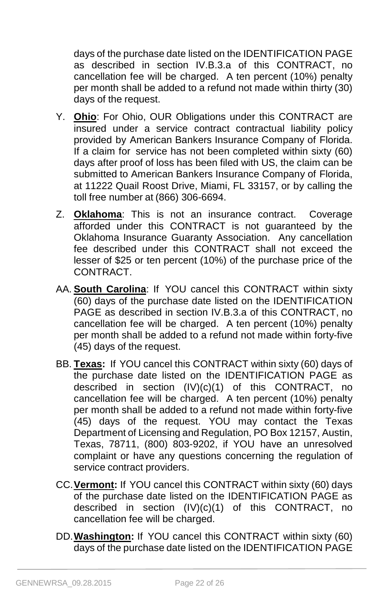days of the purchase date listed on the IDENTIFICATION PAGE as described in section IV.B.3.a of this CONTRACT, no cancellation fee will be charged. A ten percent (10%) penalty per month shall be added to a refund not made within thirty (30) days of the request.

- Y. **Ohio**: For Ohio, OUR Obligations under this CONTRACT are insured under a service contract contractual liability policy provided by American Bankers Insurance Company of Florida. If a claim for service has not been completed within sixty (60) days after proof of loss has been filed with US, the claim can be submitted to American Bankers Insurance Company of Florida, at 11222 Quail Roost Drive, Miami, FL 33157, or by calling the toll free number at (866) 306-6694.
- Z. **Oklahoma**: This is not an insurance contract. Coverage afforded under this CONTRACT is not guaranteed by the Oklahoma Insurance Guaranty Association. Any cancellation fee described under this CONTRACT shall not exceed the lesser of \$25 or ten percent (10%) of the purchase price of the **CONTRACT**
- AA. **South Carolina**: If YOU cancel this CONTRACT within sixty (60) days of the purchase date listed on the IDENTIFICATION PAGE as described in section IV.B.3.a of this CONTRACT, no cancellation fee will be charged. A ten percent (10%) penalty per month shall be added to a refund not made within forty-five (45) days of the request.
- BB. **Texas:** If YOU cancel this CONTRACT within sixty (60) days of the purchase date listed on the IDENTIFICATION PAGE as described in section (IV)(c)(1) of this CONTRACT, no cancellation fee will be charged. A ten percent (10%) penalty per month shall be added to a refund not made within forty-five (45) days of the request. YOU may contact the Texas Department of Licensing and Regulation, PO Box 12157, Austin, Texas, 78711, (800) 803-9202, if YOU have an unresolved complaint or have any questions concerning the regulation of service contract providers.
- CC.**Vermont:** If YOU cancel this CONTRACT within sixty (60) days of the purchase date listed on the IDENTIFICATION PAGE as described in section (IV)(c)(1) of this CONTRACT, no cancellation fee will be charged.
- DD.**Washington:** If YOU cancel this CONTRACT within sixty (60) days of the purchase date listed on the IDENTIFICATION PAGE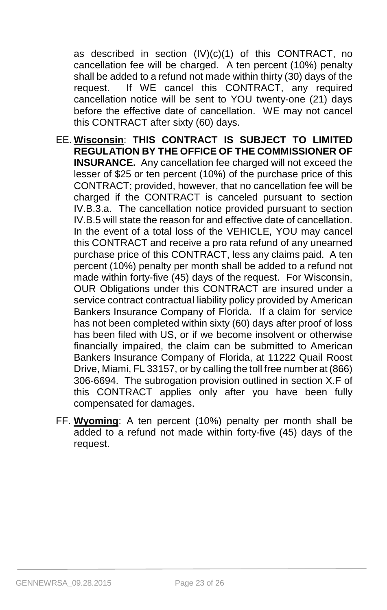as described in section (IV)(c)(1) of this CONTRACT, no cancellation fee will be charged. A ten percent (10%) penalty shall be added to a refund not made within thirty (30) days of the request. If WE cancel this CONTRACT, any required cancellation notice will be sent to YOU twenty-one (21) days before the effective date of cancellation. WE may not cancel this CONTRACT after sixty (60) days.

- EE. **Wisconsin**: **THIS CONTRACT IS SUBJECT TO LIMITED REGULATION BY THE OFFICE OF THE COMMISSIONER OF INSURANCE.** Any cancellation fee charged will not exceed the lesser of \$25 or ten percent (10%) of the purchase price of this CONTRACT; provided, however, that no cancellation fee will be charged if the CONTRACT is canceled pursuant to section IV.B.3.a. The cancellation notice provided pursuant to section IV.B.5 will state the reason for and effective date of cancellation. In the event of a total loss of the VEHICLE, YOU may cancel this CONTRACT and receive a pro rata refund of any unearned purchase price of this CONTRACT, less any claims paid. A ten percent (10%) penalty per month shall be added to a refund not made within forty-five (45) days of the request. For Wisconsin, OUR Obligations under this CONTRACT are insured under a service contract contractual liability policy provided by American Bankers Insurance Company of Florida. If a claim for service has not been completed within sixty (60) days after proof of loss has been filed with US, or if we become insolvent or otherwise financially impaired, the claim can be submitted to American Bankers Insurance Company of Florida, at 11222 Quail Roost Drive, Miami, FL 33157, or by calling the toll free number at (866) 306-6694. The subrogation provision outlined in section X.F of this CONTRACT applies only after you have been fully compensated for damages.
- FF. **Wyoming**: A ten percent (10%) penalty per month shall be added to a refund not made within forty-five (45) days of the request.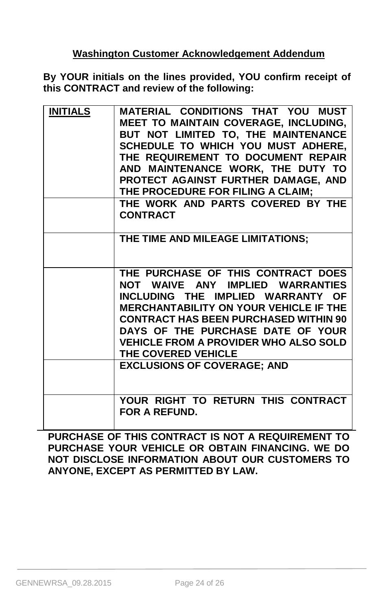#### **Washington Customer Acknowledgement Addendum**

**By YOUR initials on the lines provided, YOU confirm receipt of this CONTRACT and review of the following:**

| <b>INITIALS</b> | MATERIAL CONDITIONS THAT YOU MUST<br>MEET TO MAINTAIN COVERAGE, INCLUDING,<br>BUT NOT LIMITED TO, THE MAINTENANCE<br>SCHEDULE TO WHICH YOU MUST ADHERE,<br>THE REQUIREMENT TO DOCUMENT REPAIR<br>AND MAINTENANCE WORK, THE DUTY TO<br>PROTECT AGAINST FURTHER DAMAGE, AND<br>THE PROCEDURE FOR FILING A CLAIM;<br>THE WORK AND PARTS COVERED BY THE<br><b>CONTRACT</b> |
|-----------------|------------------------------------------------------------------------------------------------------------------------------------------------------------------------------------------------------------------------------------------------------------------------------------------------------------------------------------------------------------------------|
|                 | THE TIME AND MILEAGE LIMITATIONS;                                                                                                                                                                                                                                                                                                                                      |
|                 | THE PURCHASE OF THIS CONTRACT DOES<br>NOT WAIVE ANY IMPLIED WARRANTIES<br>INCLUDING THE IMPLIED WARRANTY OF<br><b>MERCHANTABILITY ON YOUR VEHICLE IF THE</b><br><b>CONTRACT HAS BEEN PURCHASED WITHIN 90</b><br>DAYS OF THE PURCHASE DATE OF YOUR<br><b>VEHICLE FROM A PROVIDER WHO ALSO SOLD</b><br>THE COVERED VEHICLE<br><b>EXCLUSIONS OF COVERAGE; AND</b>         |
|                 |                                                                                                                                                                                                                                                                                                                                                                        |
|                 | YOUR RIGHT TO RETURN THIS CONTRACT<br>FOR A REFUND.                                                                                                                                                                                                                                                                                                                    |

**PURCHASE OF THIS CONTRACT IS NOT A REQUIREMENT TO PURCHASE YOUR VEHICLE OR OBTAIN FINANCING. WE DO NOT DISCLOSE INFORMATION ABOUT OUR CUSTOMERS TO ANYONE, EXCEPT AS PERMITTED BY LAW.**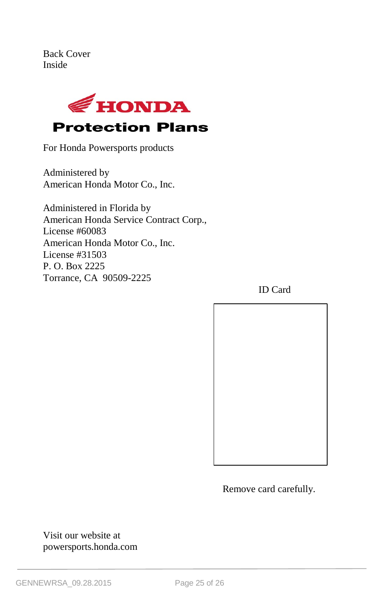Back Cover Inside



For Honda Powersports products

Administered by American Honda Motor Co., Inc.

Administered in Florida by American Honda Service Contract Corp., License #60083 American Honda Motor Co., Inc. License #31503 P. O. Box 2225 Torrance, CA 90509-2225

ID Card

Remove card carefully.

Visit our website at powersports.honda.com